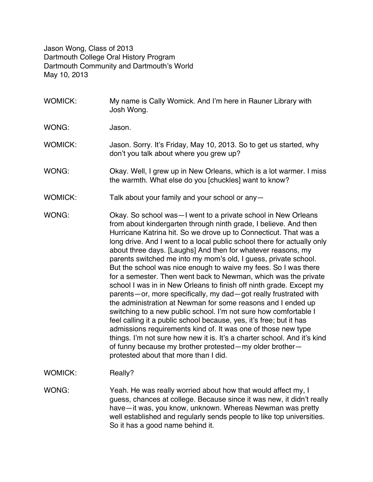Jason Wong, Class of 2013 Dartmouth College Oral History Program Dartmouth Community and Dartmouth's World May 10, 2013

- WOMICK: My name is Cally Womick. And I'm here in Rauner Library with Josh Wong. WONG: Jason. WOMICK: Jason. Sorry. It's Friday, May 10, 2013. So to get us started, why don't you talk about where you grew up? WONG: Okay. Well, I grew up in New Orleans, which is a lot warmer. I miss the warmth. What else do you [chuckles] want to know? WOMICK: Talk about your family and your school or any-WONG: Okay. So school was - I went to a private school in New Orleans from about kindergarten through ninth grade, I believe. And then Hurricane Katrina hit. So we drove up to Connecticut. That was a long drive. And I went to a local public school there for actually only about three days. [Laughs] And then for whatever reasons, my parents switched me into my mom's old, I guess, private school. But the school was nice enough to waive my fees. So I was there for a semester. Then went back to Newman, which was the private school I was in in New Orleans to finish off ninth grade. Except my parents—or, more specifically, my dad—got really frustrated with the administration at Newman for some reasons and I ended up switching to a new public school. I'm not sure how comfortable I feel calling it a public school because, yes, it's free; but it has admissions requirements kind of. It was one of those new type things. I'm not sure how new it is. It's a charter school. And it's kind of funny because my brother protested—my older brother protested about that more than I did.
- WOMICK: Really?
- WONG: Yeah. He was really worried about how that would affect my, I guess, chances at college. Because since it was new, it didn't really have—it was, you know, unknown. Whereas Newman was pretty well established and regularly sends people to like top universities. So it has a good name behind it.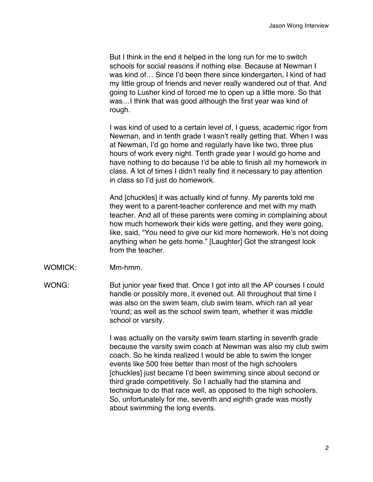But I think in the end it helped in the long run for me to switch schools for social reasons if nothing else. Because at Newman I was kind of… Since I'd been there since kindergarten, I kind of had my little group of friends and never really wandered out of that. And going to Lusher kind of forced me to open up a little more. So that was…I think that was good although the first year was kind of rough.

I was kind of used to a certain level of, I guess, academic rigor from Newman, and in tenth grade I wasn't really getting that. When I was at Newman, I'd go home and regularly have like two, three plus hours of work every night. Tenth grade year I would go home and have nothing to do because I'd be able to finish all my homework in class. A lot of times I didn't really find it necessary to pay attention in class so I'd just do homework.

And [chuckles] it was actually kind of funny. My parents told me they went to a parent-teacher conference and met with my math teacher. And all of these parents were coming in complaining about how much homework their kids were getting, and they were going, like, said, "You need to give our kid more homework. He's not doing anything when he gets home." [Laughter] Got the strangest look from the teacher.

- WOMICK: Mm-hmm.
- WONG: But junior year fixed that. Once I got into all the AP courses I could handle or possibly more, it evened out. All throughout that time I was also on the swim team, club swim team, which ran all year 'round; as well as the school swim team, whether it was middle school or varsity.

I was actually on the varsity swim team starting in seventh grade because the varsity swim coach at Newman was also my club swim coach. So he kinda realized I would be able to swim the longer events like 500 free better than most of the high schoolers [chuckles] just became I'd been swimming since about second or third grade competitively. So I actually had the stamina and technique to do that race well, as opposed to the high schoolers. So, unfortunately for me, seventh and eighth grade was mostly about swimming the long events.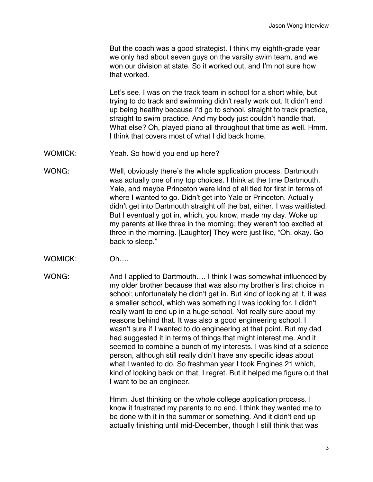But the coach was a good strategist. I think my eighth-grade year we only had about seven guys on the varsity swim team, and we won our division at state. So it worked out, and I'm not sure how that worked.

Let's see. I was on the track team in school for a short while, but trying to do track and swimming didn't really work out. It didn't end up being healthy because I'd go to school, straight to track practice, straight to swim practice. And my body just couldn't handle that. What else? Oh, played piano all throughout that time as well. Hmm. I think that covers most of what I did back home.

- WOMICK: Yeah. So how'd you end up here?
- WONG: Well, obviously there's the whole application process. Dartmouth was actually one of my top choices. I think at the time Dartmouth, Yale, and maybe Princeton were kind of all tied for first in terms of where I wanted to go. Didn't get into Yale or Princeton. Actually didn't get into Dartmouth straight off the bat, either. I was waitlisted. But I eventually got in, which, you know, made my day. Woke up my parents at like three in the morning; they weren't too excited at three in the morning. [Laughter] They were just like, "Oh, okay. Go back to sleep."
- WOMICK: Oh….
- WONG: And I applied to Dartmouth.... I think I was somewhat influenced by my older brother because that was also my brother's first choice in school; unfortunately he didn't get in. But kind of looking at it, it was a smaller school, which was something I was looking for. I didn't really want to end up in a huge school. Not really sure about my reasons behind that. It was also a good engineering school. I wasn't sure if I wanted to do engineering at that point. But my dad had suggested it in terms of things that might interest me. And it seemed to combine a bunch of my interests. I was kind of a science person, although still really didn't have any specific ideas about what I wanted to do. So freshman year I took Engines 21 which, kind of looking back on that, I regret. But it helped me figure out that I want to be an engineer.

Hmm. Just thinking on the whole college application process. I know it frustrated my parents to no end. I think they wanted me to be done with it in the summer or something. And it didn't end up actually finishing until mid-December, though I still think that was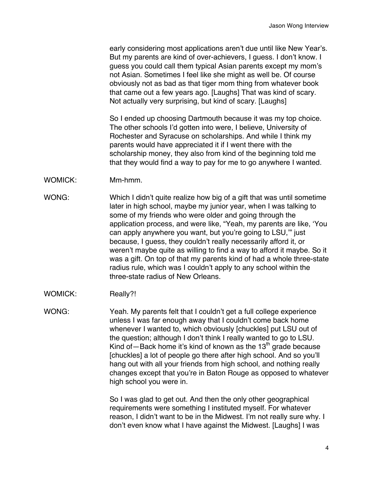early considering most applications aren't due until like New Year's. But my parents are kind of over-achievers, I guess. I don't know. I guess you could call them typical Asian parents except my mom's not Asian. Sometimes I feel like she might as well be. Of course obviously not as bad as that tiger mom thing from whatever book that came out a few years ago. [Laughs] That was kind of scary. Not actually very surprising, but kind of scary. [Laughs]

So I ended up choosing Dartmouth because it was my top choice. The other schools I'd gotten into were, I believe, University of Rochester and Syracuse on scholarships. And while I think my parents would have appreciated it if I went there with the scholarship money, they also from kind of the beginning told me that they would find a way to pay for me to go anywhere I wanted.

- WOMICK: Mm-hmm.
- WONG: Which I didn't quite realize how big of a gift that was until sometime later in high school, maybe my junior year, when I was talking to some of my friends who were older and going through the application process, and were like, "Yeah, my parents are like, 'You can apply anywhere you want, but you're going to LSU,'" just because, I guess, they couldn't really necessarily afford it, or weren't maybe quite as willing to find a way to afford it maybe. So it was a gift. On top of that my parents kind of had a whole three-state radius rule, which was I couldn't apply to any school within the three-state radius of New Orleans.
- WOMICK: Really?!

WONG: Yeah. My parents felt that I couldn't get a full college experience unless I was far enough away that I couldn't come back home whenever I wanted to, which obviously [chuckles] put LSU out of the question; although I don't think I really wanted to go to LSU. Kind of  $-$  Back home it's kind of known as the 13<sup>th</sup> grade because [chuckles] a lot of people go there after high school. And so you'll hang out with all your friends from high school, and nothing really changes except that you're in Baton Rouge as opposed to whatever high school you were in.

> So I was glad to get out. And then the only other geographical requirements were something I instituted myself. For whatever reason, I didn't want to be in the Midwest. I'm not really sure why. I don't even know what I have against the Midwest. [Laughs] I was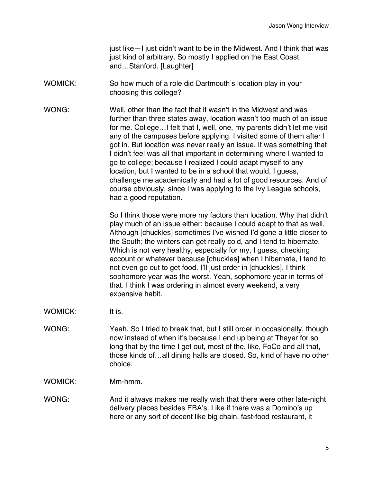just like—I just didn't want to be in the Midwest. And I think that was just kind of arbitrary. So mostly I applied on the East Coast and…Stanford. [Laughter]

- WOMICK: So how much of a role did Dartmouth's location play in your choosing this college?
- WONG: Well, other than the fact that it wasn't in the Midwest and was further than three states away, location wasn't too much of an issue for me. College…I felt that I, well, one, my parents didn't let me visit any of the campuses before applying. I visited some of them after I got in. But location was never really an issue. It was something that I didn't feel was all that important in determining where I wanted to go to college; because I realized I could adapt myself to any location, but I wanted to be in a school that would, I guess, challenge me academically and had a lot of good resources. And of course obviously, since I was applying to the Ivy League schools, had a good reputation.

So I think those were more my factors than location. Why that didn't play much of an issue either: because I could adapt to that as well. Although [chuckles] sometimes I've wished I'd gone a little closer to the South; the winters can get really cold, and I tend to hibernate. Which is not very healthy, especially for my, I guess, checking account or whatever because [chuckles] when I hibernate, I tend to not even go out to get food. I'll just order in [chuckles]. I think sophomore year was the worst. Yeah, sophomore year in terms of that. I think I was ordering in almost every weekend, a very expensive habit.

- WOMICK: It is.
- WONG: Yeah. So I tried to break that, but I still order in occasionally, though now instead of when it's because I end up being at Thayer for so long that by the time I get out, most of the, like, FoCo and all that, those kinds of…all dining halls are closed. So, kind of have no other choice.

WOMICK: Mm-hmm.

WONG: And it always makes me really wish that there were other late-night delivery places besides EBA's. Like if there was a Domino's up here or any sort of decent like big chain, fast-food restaurant, it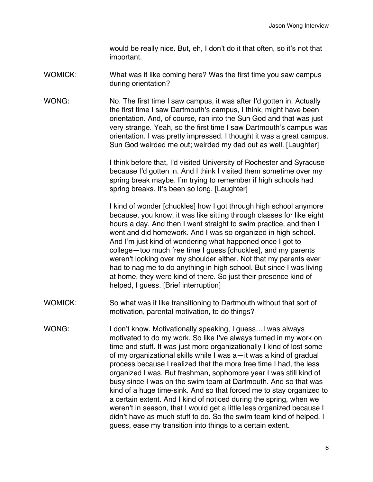would be really nice. But, eh, I don't do it that often, so it's not that important.

- WOMICK: What was it like coming here? Was the first time you saw campus during orientation?
- WONG: No. The first time I saw campus, it was after I'd gotten in. Actually the first time I saw Dartmouth's campus, I think, might have been orientation. And, of course, ran into the Sun God and that was just very strange. Yeah, so the first time I saw Dartmouth's campus was orientation. I was pretty impressed. I thought it was a great campus. Sun God weirded me out; weirded my dad out as well. [Laughter]

I think before that, I'd visited University of Rochester and Syracuse because I'd gotten in. And I think I visited them sometime over my spring break maybe. I'm trying to remember if high schools had spring breaks. It's been so long. [Laughter]

I kind of wonder [chuckles] how I got through high school anymore because, you know, it was like sitting through classes for like eight hours a day. And then I went straight to swim practice, and then I went and did homework. And I was so organized in high school. And I'm just kind of wondering what happened once I got to college—too much free time I guess [chuckles], and my parents weren't looking over my shoulder either. Not that my parents ever had to nag me to do anything in high school. But since I was living at home, they were kind of there. So just their presence kind of helped, I quess. [Brief interruption]

- WOMICK: So what was it like transitioning to Dartmouth without that sort of motivation, parental motivation, to do things?
- WONG: I don't know. Motivationally speaking, I quess... I was always motivated to do my work. So like I've always turned in my work on time and stuff. It was just more organizationally I kind of lost some of my organizational skills while I was a—it was a kind of gradual process because I realized that the more free time I had, the less organized I was. But freshman, sophomore year I was still kind of busy since I was on the swim team at Dartmouth. And so that was kind of a huge time-sink. And so that forced me to stay organized to a certain extent. And I kind of noticed during the spring, when we weren't in season, that I would get a little less organized because I didn't have as much stuff to do. So the swim team kind of helped, I guess, ease my transition into things to a certain extent.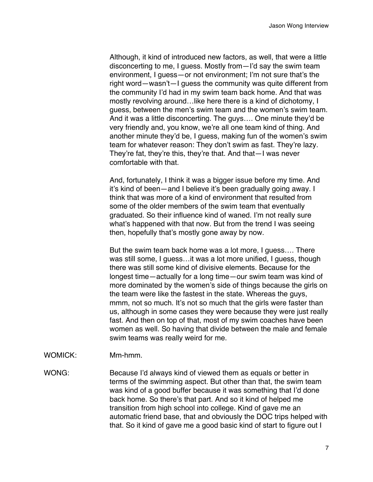Although, it kind of introduced new factors, as well, that were a little disconcerting to me, I guess. Mostly from—I'd say the swim team environment, I guess—or not environment; I'm not sure that's the right word—wasn't—I guess the community was quite different from the community I'd had in my swim team back home. And that was mostly revolving around…like here there is a kind of dichotomy, I guess, between the men's swim team and the women's swim team. And it was a little disconcerting. The guys…. One minute they'd be very friendly and, you know, we're all one team kind of thing. And another minute they'd be, I guess, making fun of the women's swim team for whatever reason: They don't swim as fast. They're lazy. They're fat, they're this, they're that. And that—I was never comfortable with that.

And, fortunately, I think it was a bigger issue before my time. And it's kind of been—and I believe it's been gradually going away. I think that was more of a kind of environment that resulted from some of the older members of the swim team that eventually graduated. So their influence kind of waned. I'm not really sure what's happened with that now. But from the trend I was seeing then, hopefully that's mostly gone away by now.

But the swim team back home was a lot more, I guess…. There was still some, I guess…it was a lot more unified, I guess, though there was still some kind of divisive elements. Because for the longest time—actually for a long time—our swim team was kind of more dominated by the women's side of things because the girls on the team were like the fastest in the state. Whereas the guys, mmm, not so much. It's not so much that the girls were faster than us, although in some cases they were because they were just really fast. And then on top of that, most of my swim coaches have been women as well. So having that divide between the male and female swim teams was really weird for me.

## WOMICK: Mm-hmm.

WONG: Because I'd always kind of viewed them as equals or better in terms of the swimming aspect. But other than that, the swim team was kind of a good buffer because it was something that I'd done back home. So there's that part. And so it kind of helped me transition from high school into college. Kind of gave me an automatic friend base, that and obviously the DOC trips helped with that. So it kind of gave me a good basic kind of start to figure out I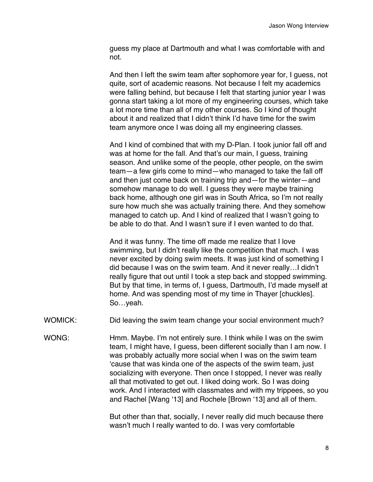guess my place at Dartmouth and what I was comfortable with and not.

And then I left the swim team after sophomore year for, I guess, not quite, sort of academic reasons. Not because I felt my academics were falling behind, but because I felt that starting junior year I was gonna start taking a lot more of my engineering courses, which take a lot more time than all of my other courses. So I kind of thought about it and realized that I didn't think I'd have time for the swim team anymore once I was doing all my engineering classes.

And I kind of combined that with my D-Plan. I took junior fall off and was at home for the fall. And that's our main, I guess, training season. And unlike some of the people, other people, on the swim team—a few girls come to mind—who managed to take the fall off and then just come back on training trip and—for the winter—and somehow manage to do well. I guess they were maybe training back home, although one girl was in South Africa, so I'm not really sure how much she was actually training there. And they somehow managed to catch up. And I kind of realized that I wasn't going to be able to do that. And I wasn't sure if I even wanted to do that.

And it was funny. The time off made me realize that I love swimming, but I didn't really like the competition that much. I was never excited by doing swim meets. It was just kind of something I did because I was on the swim team. And it never really…I didn't really figure that out until I took a step back and stopped swimming. But by that time, in terms of, I guess, Dartmouth, I'd made myself at home. And was spending most of my time in Thayer [chuckles]. So…yeah.

WOMICK: Did leaving the swim team change your social environment much?

WONG: Hmm. Maybe. I'm not entirely sure. I think while I was on the swim team, I might have, I guess, been different socially than I am now. I was probably actually more social when I was on the swim team 'cause that was kinda one of the aspects of the swim team, just socializing with everyone. Then once I stopped, I never was really all that motivated to get out. I liked doing work. So I was doing work. And I interacted with classmates and with my trippees, so you and Rachel [Wang '13] and Rochele [Brown '13] and all of them.

> But other than that, socially, I never really did much because there wasn't much I really wanted to do. I was very comfortable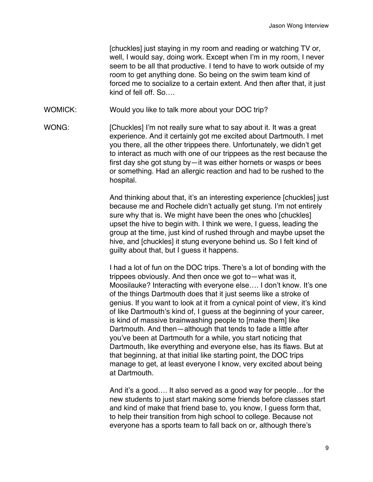[chuckles] just staying in my room and reading or watching TV or, well, I would say, doing work. Except when I'm in my room, I never seem to be all that productive. I tend to have to work outside of my room to get anything done. So being on the swim team kind of forced me to socialize to a certain extent. And then after that, it just kind of fell off. So….

WOMICK: Would you like to talk more about your DOC trip?

WONG: [Chuckles] I'm not really sure what to say about it. It was a great experience. And it certainly got me excited about Dartmouth. I met you there, all the other trippees there. Unfortunately, we didn't get to interact as much with one of our trippees as the rest because the first day she got stung by—it was either hornets or wasps or bees or something. Had an allergic reaction and had to be rushed to the hospital.

> And thinking about that, it's an interesting experience [chuckles] just because me and Rochele didn't actually get stung. I'm not entirely sure why that is. We might have been the ones who [chuckles] upset the hive to begin with. I think we were, I guess, leading the group at the time, just kind of rushed through and maybe upset the hive, and [chuckles] it stung everyone behind us. So I felt kind of guilty about that, but I guess it happens.

I had a lot of fun on the DOC trips. There's a lot of bonding with the trippees obviously. And then once we got to—what was it, Moosilauke? Interacting with everyone else…. I don't know. It's one of the things Dartmouth does that it just seems like a stroke of genius. If you want to look at it from a cynical point of view, it's kind of like Dartmouth's kind of, I guess at the beginning of your career, is kind of massive brainwashing people to [make them] like Dartmouth. And then—although that tends to fade a little after you've been at Dartmouth for a while, you start noticing that Dartmouth, like everything and everyone else, has its flaws. But at that beginning, at that initial like starting point, the DOC trips manage to get, at least everyone I know, very excited about being at Dartmouth.

And it's a good…. It also served as a good way for people…for the new students to just start making some friends before classes start and kind of make that friend base to, you know, I guess form that, to help their transition from high school to college. Because not everyone has a sports team to fall back on or, although there's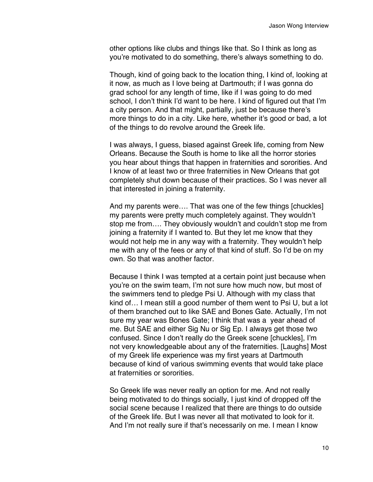other options like clubs and things like that. So I think as long as you're motivated to do something, there's always something to do.

Though, kind of going back to the location thing, I kind of, looking at it now, as much as I love being at Dartmouth; if I was gonna do grad school for any length of time, like if I was going to do med school. I don't think I'd want to be here. I kind of figured out that I'm a city person. And that might, partially, just be because there's more things to do in a city. Like here, whether it's good or bad, a lot of the things to do revolve around the Greek life.

I was always, I guess, biased against Greek life, coming from New Orleans. Because the South is home to like all the horror stories you hear about things that happen in fraternities and sororities. And I know of at least two or three fraternities in New Orleans that got completely shut down because of their practices. So I was never all that interested in joining a fraternity.

And my parents were…. That was one of the few things [chuckles] my parents were pretty much completely against. They wouldn't stop me from…. They obviously wouldn't and couldn't stop me from joining a fraternity if I wanted to. But they let me know that they would not help me in any way with a fraternity. They wouldn't help me with any of the fees or any of that kind of stuff. So I'd be on my own. So that was another factor.

Because I think I was tempted at a certain point just because when you're on the swim team, I'm not sure how much now, but most of the swimmers tend to pledge Psi U. Although with my class that kind of… I mean still a good number of them went to Psi U, but a lot of them branched out to like SAE and Bones Gate. Actually, I'm not sure my year was Bones Gate; I think that was a year ahead of me. But SAE and either Sig Nu or Sig Ep. I always get those two confused. Since I don't really do the Greek scene [chuckles], I'm not very knowledgeable about any of the fraternities. [Laughs] Most of my Greek life experience was my first years at Dartmouth because of kind of various swimming events that would take place at fraternities or sororities.

So Greek life was never really an option for me. And not really being motivated to do things socially, I just kind of dropped off the social scene because I realized that there are things to do outside of the Greek life. But I was never all that motivated to look for it. And I'm not really sure if that's necessarily on me. I mean I know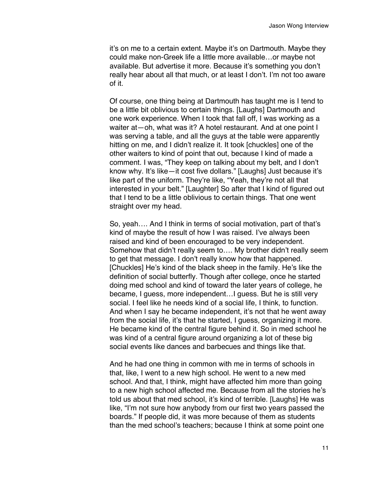it's on me to a certain extent. Maybe it's on Dartmouth. Maybe they could make non-Greek life a little more available…or maybe not available. But advertise it more. Because it's something you don't really hear about all that much, or at least I don't. I'm not too aware of it.

Of course, one thing being at Dartmouth has taught me is I tend to be a little bit oblivious to certain things. [Laughs] Dartmouth and one work experience. When I took that fall off, I was working as a waiter at - oh, what was it? A hotel restaurant. And at one point I was serving a table, and all the guys at the table were apparently hitting on me, and I didn't realize it. It took [chuckles] one of the other waiters to kind of point that out, because I kind of made a comment. I was, "They keep on talking about my belt, and I don't know why. It's like—it cost five dollars." [Laughs] Just because it's like part of the uniform. They're like, "Yeah, they're not all that interested in your belt." [Laughter] So after that I kind of figured out that I tend to be a little oblivious to certain things. That one went straight over my head.

So, yeah…. And I think in terms of social motivation, part of that's kind of maybe the result of how I was raised. I've always been raised and kind of been encouraged to be very independent. Somehow that didn't really seem to…. My brother didn't really seem to get that message. I don't really know how that happened. [Chuckles] He's kind of the black sheep in the family. He's like the definition of social butterfly. Though after college, once he started doing med school and kind of toward the later years of college, he became, I guess, more independent…I guess. But he is still very social. I feel like he needs kind of a social life, I think, to function. And when I say he became independent, it's not that he went away from the social life, it's that he started, I guess, organizing it more. He became kind of the central figure behind it. So in med school he was kind of a central figure around organizing a lot of these big social events like dances and barbecues and things like that.

And he had one thing in common with me in terms of schools in that, like, I went to a new high school. He went to a new med school. And that, I think, might have affected him more than going to a new high school affected me. Because from all the stories he's told us about that med school, it's kind of terrible. [Laughs] He was like, "I'm not sure how anybody from our first two years passed the boards." If people did, it was more because of them as students than the med school's teachers; because I think at some point one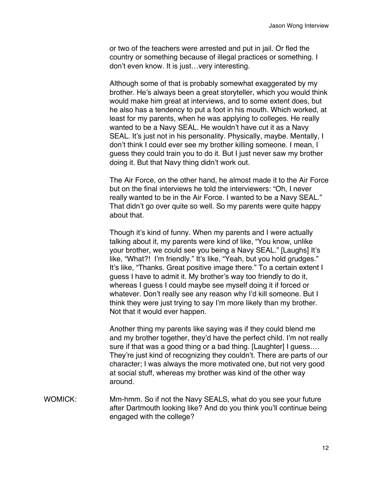or two of the teachers were arrested and put in jail. Or fled the country or something because of illegal practices or something. I don't even know. It is just…very interesting.

Although some of that is probably somewhat exaggerated by my brother. He's always been a great storyteller, which you would think would make him great at interviews, and to some extent does, but he also has a tendency to put a foot in his mouth. Which worked, at least for my parents, when he was applying to colleges. He really wanted to be a Navy SEAL. He wouldn't have cut it as a Navy SEAL. It's just not in his personality. Physically, maybe. Mentally, I don't think I could ever see my brother killing someone. I mean, I guess they could train you to do it. But I just never saw my brother doing it. But that Navy thing didn't work out.

The Air Force, on the other hand, he almost made it to the Air Force but on the final interviews he told the interviewers: "Oh, I never really wanted to be in the Air Force. I wanted to be a Navy SEAL." That didn't go over quite so well. So my parents were quite happy about that.

Though it's kind of funny. When my parents and I were actually talking about it, my parents were kind of like, "You know, unlike your brother, we could see you being a Navy SEAL." [Laughs] It's like, "What?! I'm friendly." It's like, "Yeah, but you hold grudges." It's like, "Thanks. Great positive image there." To a certain extent I guess I have to admit it. My brother's way too friendly to do it, whereas I guess I could maybe see myself doing it if forced or whatever. Don't really see any reason why I'd kill someone. But I think they were just trying to say I'm more likely than my brother. Not that it would ever happen.

Another thing my parents like saying was if they could blend me and my brother together, they'd have the perfect child. I'm not really sure if that was a good thing or a bad thing. [Laughter] I guess…. They're just kind of recognizing they couldn't. There are parts of our character; I was always the more motivated one, but not very good at social stuff, whereas my brother was kind of the other way around.

WOMICK: Mm-hmm. So if not the Navy SEALS, what do you see your future after Dartmouth looking like? And do you think you'll continue being engaged with the college?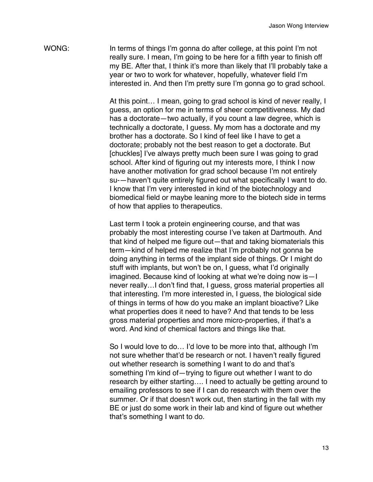WONG: In terms of things I'm gonna do after college, at this point I'm not really sure. I mean, I'm going to be here for a fifth year to finish off my BE. After that, I think it's more than likely that I'll probably take a year or two to work for whatever, hopefully, whatever field I'm interested in. And then I'm pretty sure I'm gonna go to grad school.

> At this point… I mean, going to grad school is kind of never really, I guess, an option for me in terms of sheer competitiveness. My dad has a doctorate—two actually, if you count a law degree, which is technically a doctorate, I guess. My mom has a doctorate and my brother has a doctorate. So I kind of feel like I have to get a doctorate; probably not the best reason to get a doctorate. But [chuckles] I've always pretty much been sure I was going to grad school. After kind of figuring out my interests more, I think I now have another motivation for grad school because I'm not entirely su-—haven't quite entirely figured out what specifically I want to do. I know that I'm very interested in kind of the biotechnology and biomedical field or maybe leaning more to the biotech side in terms of how that applies to therapeutics.

Last term I took a protein engineering course, and that was probably the most interesting course I've taken at Dartmouth. And that kind of helped me figure out—that and taking biomaterials this term—kind of helped me realize that I'm probably not gonna be doing anything in terms of the implant side of things. Or I might do stuff with implants, but won't be on, I guess, what I'd originally imagined. Because kind of looking at what we're doing now is—I never really…I don't find that, I guess, gross material properties all that interesting. I'm more interested in, I guess, the biological side of things in terms of how do you make an implant bioactive? Like what properties does it need to have? And that tends to be less gross material properties and more micro-properties, if that's a word. And kind of chemical factors and things like that.

So I would love to do… I'd love to be more into that, although I'm not sure whether that'd be research or not. I haven't really figured out whether research is something I want to do and that's something I'm kind of—trying to figure out whether I want to do research by either starting…. I need to actually be getting around to emailing professors to see if I can do research with them over the summer. Or if that doesn't work out, then starting in the fall with my BE or just do some work in their lab and kind of figure out whether that's something I want to do.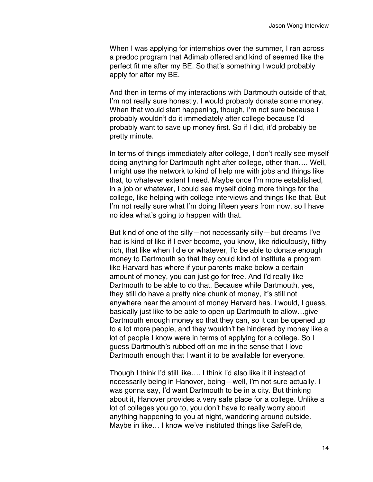When I was applying for internships over the summer, I ran across a predoc program that Adimab offered and kind of seemed like the perfect fit me after my BE. So that's something I would probably apply for after my BE.

And then in terms of my interactions with Dartmouth outside of that, I'm not really sure honestly. I would probably donate some money. When that would start happening, though, I'm not sure because I probably wouldn't do it immediately after college because I'd probably want to save up money first. So if I did, it'd probably be pretty minute.

In terms of things immediately after college, I don't really see myself doing anything for Dartmouth right after college, other than…. Well, I might use the network to kind of help me with jobs and things like that, to whatever extent I need. Maybe once I'm more established, in a job or whatever, I could see myself doing more things for the college, like helping with college interviews and things like that. But I'm not really sure what I'm doing fifteen years from now, so I have no idea what's going to happen with that.

But kind of one of the silly—not necessarily silly—but dreams I've had is kind of like if I ever become, you know, like ridiculously, filthy rich, that like when I die or whatever, I'd be able to donate enough money to Dartmouth so that they could kind of institute a program like Harvard has where if your parents make below a certain amount of money, you can just go for free. And I'd really like Dartmouth to be able to do that. Because while Dartmouth, yes, they still do have a pretty nice chunk of money, it's still not anywhere near the amount of money Harvard has. I would, I guess, basically just like to be able to open up Dartmouth to allow…give Dartmouth enough money so that they can, so it can be opened up to a lot more people, and they wouldn't be hindered by money like a lot of people I know were in terms of applying for a college. So I guess Dartmouth's rubbed off on me in the sense that I love Dartmouth enough that I want it to be available for everyone.

Though I think I'd still like…. I think I'd also like it if instead of necessarily being in Hanover, being—well, I'm not sure actually. I was gonna say, I'd want Dartmouth to be in a city. But thinking about it, Hanover provides a very safe place for a college. Unlike a lot of colleges you go to, you don't have to really worry about anything happening to you at night, wandering around outside. Maybe in like… I know we've instituted things like SafeRide,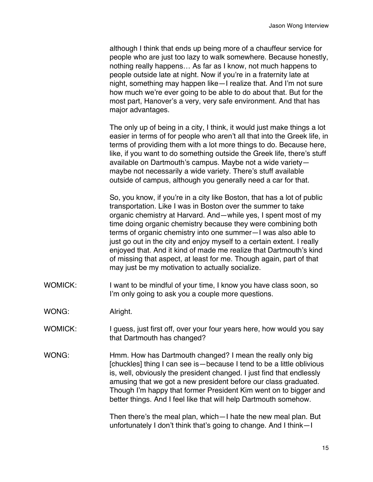although I think that ends up being more of a chauffeur service for people who are just too lazy to walk somewhere. Because honestly, nothing really happens… As far as I know, not much happens to people outside late at night. Now if you're in a fraternity late at night, something may happen like—I realize that. And I'm not sure how much we're ever going to be able to do about that. But for the most part, Hanover's a very, very safe environment. And that has major advantages.

The only up of being in a city, I think, it would just make things a lot easier in terms of for people who aren't all that into the Greek life, in terms of providing them with a lot more things to do. Because here, like, if you want to do something outside the Greek life, there's stuff available on Dartmouth's campus. Maybe not a wide variety maybe not necessarily a wide variety. There's stuff available outside of campus, although you generally need a car for that.

So, you know, if you're in a city like Boston, that has a lot of public transportation. Like I was in Boston over the summer to take organic chemistry at Harvard. And—while yes, I spent most of my time doing organic chemistry because they were combining both terms of organic chemistry into one summer—I was also able to just go out in the city and enjoy myself to a certain extent. I really enjoyed that. And it kind of made me realize that Dartmouth's kind of missing that aspect, at least for me. Though again, part of that may just be my motivation to actually socialize.

WOMICK: I want to be mindful of your time, I know you have class soon, so I'm only going to ask you a couple more questions.

WONG: Alright.

- WOMICK: I guess, just first off, over your four years here, how would you say that Dartmouth has changed?
- WONG: Hmm. How has Dartmouth changed? I mean the really only big [chuckles] thing I can see is—because I tend to be a little oblivious is, well, obviously the president changed. I just find that endlessly amusing that we got a new president before our class graduated. Though I'm happy that former President Kim went on to bigger and better things. And I feel like that will help Dartmouth somehow.

Then there's the meal plan, which—I hate the new meal plan. But unfortunately I don't think that's going to change. And I think—I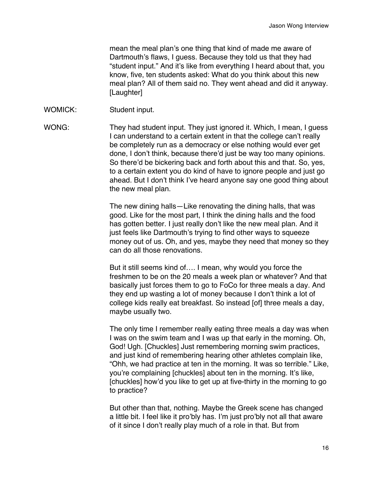mean the meal plan's one thing that kind of made me aware of Dartmouth's flaws, I guess. Because they told us that they had "student input." And it's like from everything I heard about that, you know, five, ten students asked: What do you think about this new meal plan? All of them said no. They went ahead and did it anyway. [Laughter]

## WOMICK: Student input.

WONG: They had student input. They just ignored it. Which, I mean, I guess I can understand to a certain extent in that the college can't really be completely run as a democracy or else nothing would ever get done, I don't think, because there'd just be way too many opinions. So there'd be bickering back and forth about this and that. So, yes, to a certain extent you do kind of have to ignore people and just go ahead. But I don't think I've heard anyone say one good thing about the new meal plan.

> The new dining halls—Like renovating the dining halls, that was good. Like for the most part, I think the dining halls and the food has gotten better. I just really don't like the new meal plan. And it just feels like Dartmouth's trying to find other ways to squeeze money out of us. Oh, and yes, maybe they need that money so they can do all those renovations.

> But it still seems kind of…. I mean, why would you force the freshmen to be on the 20 meals a week plan or whatever? And that basically just forces them to go to FoCo for three meals a day. And they end up wasting a lot of money because I don't think a lot of college kids really eat breakfast. So instead [of] three meals a day, maybe usually two.

> The only time I remember really eating three meals a day was when I was on the swim team and I was up that early in the morning. Oh, God! Ugh. [Chuckles] Just remembering morning swim practices, and just kind of remembering hearing other athletes complain like, "Ohh, we had practice at ten in the morning. It was so terrible." Like, you're complaining [chuckles] about ten in the morning. It's like, [chuckles] how'd you like to get up at five-thirty in the morning to go to practice?

But other than that, nothing. Maybe the Greek scene has changed a little bit. I feel like it pro'bly has. I'm just pro'bly not all that aware of it since I don't really play much of a role in that. But from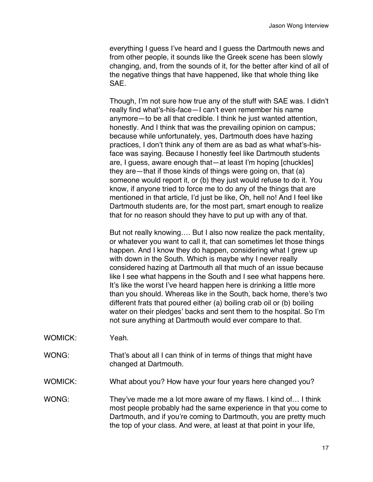everything I guess I've heard and I guess the Dartmouth news and from other people, it sounds like the Greek scene has been slowly changing, and, from the sounds of it, for the better after kind of all of the negative things that have happened, like that whole thing like SAE.

Though, I'm not sure how true any of the stuff with SAE was. I didn't really find what's-his-face—I can't even remember his name anymore—to be all that credible. I think he just wanted attention, honestly. And I think that was the prevailing opinion on campus; because while unfortunately, yes, Dartmouth does have hazing practices, I don't think any of them are as bad as what what's-hisface was saying. Because I honestly feel like Dartmouth students are, I guess, aware enough that—at least I'm hoping [chuckles] they are—that if those kinds of things were going on, that (a) someone would report it, or (b) they just would refuse to do it. You know, if anyone tried to force me to do any of the things that are mentioned in that article, I'd just be like, Oh, hell no! And I feel like Dartmouth students are, for the most part, smart enough to realize that for no reason should they have to put up with any of that.

But not really knowing…. But I also now realize the pack mentality, or whatever you want to call it, that can sometimes let those things happen. And I know they do happen, considering what I grew up with down in the South. Which is maybe why I never really considered hazing at Dartmouth all that much of an issue because like I see what happens in the South and I see what happens here. It's like the worst I've heard happen here is drinking a little more than you should. Whereas like in the South, back home, there's two different frats that poured either (a) boiling crab oil or (b) boiling water on their pledges' backs and sent them to the hospital. So I'm not sure anything at Dartmouth would ever compare to that.

- WOMICK: Yeah.
- WONG: That's about all I can think of in terms of things that might have changed at Dartmouth.
- WOMICK: What about you? How have your four years here changed you?
- WONG: They've made me a lot more aware of my flaws. I kind of... I think most people probably had the same experience in that you come to Dartmouth, and if you're coming to Dartmouth, you are pretty much the top of your class. And were, at least at that point in your life,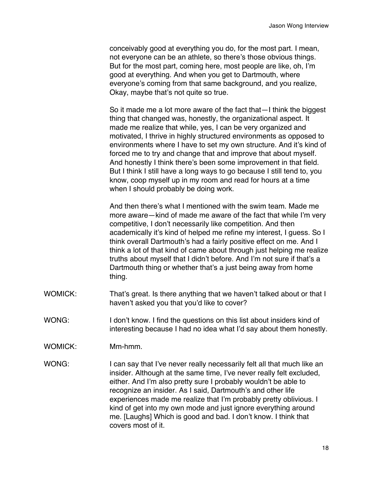conceivably good at everything you do, for the most part. I mean, not everyone can be an athlete, so there's those obvious things. But for the most part, coming here, most people are like, oh, I'm good at everything. And when you get to Dartmouth, where everyone's coming from that same background, and you realize, Okay, maybe that's not quite so true.

So it made me a lot more aware of the fact that—I think the biggest thing that changed was, honestly, the organizational aspect. It made me realize that while, yes, I can be very organized and motivated, I thrive in highly structured environments as opposed to environments where I have to set my own structure. And it's kind of forced me to try and change that and improve that about myself. And honestly I think there's been some improvement in that field. But I think I still have a long ways to go because I still tend to, you know, coop myself up in my room and read for hours at a time when I should probably be doing work.

And then there's what I mentioned with the swim team. Made me more aware—kind of made me aware of the fact that while I'm very competitive, I don't necessarily like competition. And then academically it's kind of helped me refine my interest, I guess. So I think overall Dartmouth's had a fairly positive effect on me. And I think a lot of that kind of came about through just helping me realize truths about myself that I didn't before. And I'm not sure if that's a Dartmouth thing or whether that's a just being away from home thing.

- WOMICK: That's great. Is there anything that we haven't talked about or that I haven't asked you that you'd like to cover?
- WONG: I don't know. I find the questions on this list about insiders kind of interesting because I had no idea what I'd say about them honestly.
- WOMICK: Mm-hmm.
- WONG: I can say that I've never really necessarily felt all that much like an insider. Although at the same time, I've never really felt excluded, either. And I'm also pretty sure I probably wouldn't be able to recognize an insider. As I said, Dartmouth's and other life experiences made me realize that I'm probably pretty oblivious. I kind of get into my own mode and just ignore everything around me. [Laughs] Which is good and bad. I don't know. I think that covers most of it.